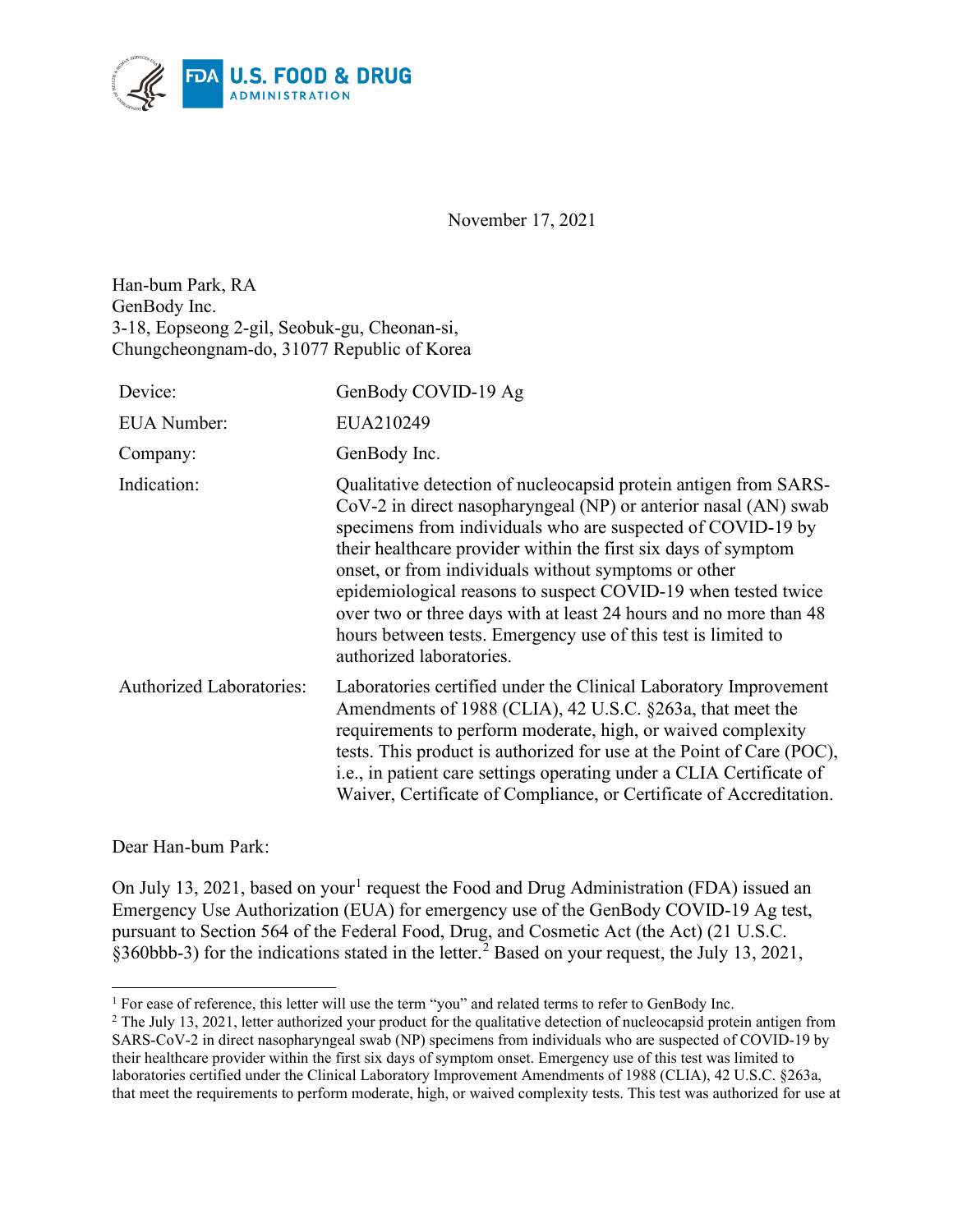

November 17, 2021

Han-bum Park, RA GenBody Inc. 3-18, Eopseong 2-gil, Seobuk-gu, Cheonan-si, Chungcheongnam-do, 31077 Republic of Korea

| Device:                         | GenBody COVID-19 Ag                                                                                                                                                                                                                                                                                                                                                                                                                                                                                                                                             |
|---------------------------------|-----------------------------------------------------------------------------------------------------------------------------------------------------------------------------------------------------------------------------------------------------------------------------------------------------------------------------------------------------------------------------------------------------------------------------------------------------------------------------------------------------------------------------------------------------------------|
| <b>EUA</b> Number:              | EUA210249                                                                                                                                                                                                                                                                                                                                                                                                                                                                                                                                                       |
| Company:                        | GenBody Inc.                                                                                                                                                                                                                                                                                                                                                                                                                                                                                                                                                    |
| Indication:                     | Qualitative detection of nucleocapsid protein antigen from SARS-<br>CoV-2 in direct nasopharyngeal (NP) or anterior nasal (AN) swab<br>specimens from individuals who are suspected of COVID-19 by<br>their healthcare provider within the first six days of symptom<br>onset, or from individuals without symptoms or other<br>epidemiological reasons to suspect COVID-19 when tested twice<br>over two or three days with at least 24 hours and no more than 48<br>hours between tests. Emergency use of this test is limited to<br>authorized laboratories. |
| <b>Authorized Laboratories:</b> | Laboratories certified under the Clinical Laboratory Improvement<br>Amendments of 1988 (CLIA), 42 U.S.C. §263a, that meet the<br>requirements to perform moderate, high, or waived complexity<br>tests. This product is authorized for use at the Point of Care (POC),<br>i.e., in patient care settings operating under a CLIA Certificate of<br>Waiver, Certificate of Compliance, or Certificate of Accreditation.                                                                                                                                           |

Dear Han-bum Park:

On July [1](#page-0-0)3, 2021, based on your<sup>1</sup> request the Food and Drug Administration (FDA) issued an Emergency Use Authorization (EUA) for emergency use of the GenBody COVID-19 Ag test, pursuant to Section 564 of the Federal Food, Drug, and Cosmetic Act (the Act) (21 U.S.C. §360bbb-3) for the indications stated in the letter.<sup>[2](#page-0-1)</sup> Based on your request, the July 13, 2021,

<span id="page-0-0"></span><sup>&</sup>lt;sup>1</sup> For ease of reference, this letter will use the term "you" and related terms to refer to GenBody Inc.

<span id="page-0-1"></span> $2$  The July 13, 2021, letter authorized your product for the qualitative detection of nucleocapsid protein antigen from SARS-CoV-2 in direct nasopharyngeal swab (NP) specimens from individuals who are suspected of COVID-19 by their healthcare provider within the first six days of symptom onset. Emergency use of this test was limited to laboratories certified under the Clinical Laboratory Improvement Amendments of 1988 (CLIA), 42 U.S.C. §263a, that meet the requirements to perform moderate, high, or waived complexity tests. This test was authorized for use at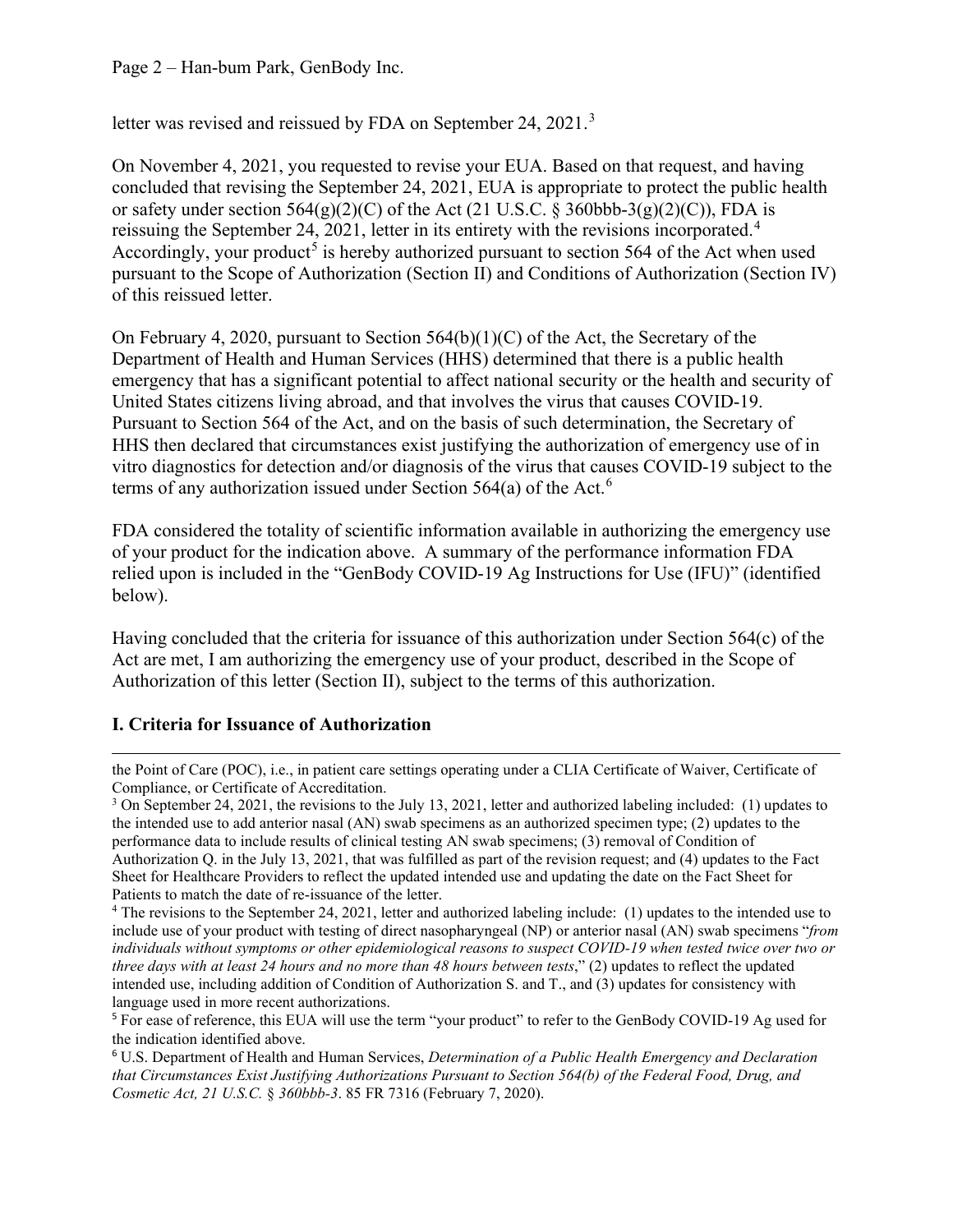Page 2 – Han-bum Park, GenBody Inc.

letter was revised and reissued by FDA on September 24, 2021.<sup>[3](#page-1-0)</sup>

On November 4, 2021, you requested to revise your EUA. Based on that request, and having concluded that revising the September 24, 2021, EUA is appropriate to protect the public health or safety under section  $564(g)(2)(C)$  of the Act (21 U.S.C. § 360bbb-3(g)(2)(C)), FDA is reissuing the September 2[4](#page-1-1), 2021, letter in its entirety with the revisions incorporated.<sup>4</sup> Accordingly, your product<sup>[5](#page-1-2)</sup> is hereby authorized pursuant to section 564 of the Act when used pursuant to the Scope of Authorization (Section II) and Conditions of Authorization (Section IV) of this reissued letter.

On February 4, 2020, pursuant to Section  $564(b)(1)(C)$  of the Act, the Secretary of the Department of Health and Human Services (HHS) determined that there is a public health emergency that has a significant potential to affect national security or the health and security of United States citizens living abroad, and that involves the virus that causes COVID-19. Pursuant to Section 564 of the Act, and on the basis of such determination, the Secretary of HHS then declared that circumstances exist justifying the authorization of emergency use of in vitro diagnostics for detection and/or diagnosis of the virus that causes COVID-19 subject to the terms of any authorization issued under Section 5[6](#page-1-3)4(a) of the Act.<sup>6</sup>

FDA considered the totality of scientific information available in authorizing the emergency use of your product for the indication above. A summary of the performance information FDA relied upon is included in the "GenBody COVID-19 Ag Instructions for Use (IFU)" (identified below).

Having concluded that the criteria for issuance of this authorization under Section 564(c) of the Act are met, I am authorizing the emergency use of your product, described in the Scope of Authorization of this letter (Section II), subject to the terms of this authorization.

#### **I. Criteria for Issuance of Authorization**

the Point of Care (POC), i.e., in patient care settings operating under a CLIA Certificate of Waiver, Certificate of Compliance, or Certificate of Accreditation.

<span id="page-1-0"></span><sup>3</sup> On September 24, 2021, the revisions to the July 13, 2021, letter and authorized labeling included: (1) updates to the intended use to add anterior nasal (AN) swab specimens as an authorized specimen type; (2) updates to the performance data to include results of clinical testing AN swab specimens; (3) removal of Condition of Authorization Q. in the July 13, 2021, that was fulfilled as part of the revision request; and (4) updates to the Fact Sheet for Healthcare Providers to reflect the updated intended use and updating the date on the Fact Sheet for Patients to match the date of re-issuance of the letter.

<span id="page-1-1"></span><sup>4</sup> The revisions to the September 24, 2021, letter and authorized labeling include: (1) updates to the intended use to include use of your product with testing of direct nasopharyngeal (NP) or anterior nasal (AN) swab specimens "*from individuals without symptoms or other epidemiological reasons to suspect COVID-19 when tested twice over two or three days with at least 24 hours and no more than 48 hours between tests*," (2) updates to reflect the updated intended use, including addition of Condition of Authorization S. and T., and (3) updates for consistency with language used in more recent authorizations.

<span id="page-1-2"></span><sup>5</sup> For ease of reference, this EUA will use the term "your product" to refer to the GenBody COVID-19 Ag used for the indication identified above.

<span id="page-1-3"></span><sup>6</sup> U.S. Department of Health and Human Services, *Determination of a Public Health Emergency and Declaration that Circumstances Exist Justifying Authorizations Pursuant to Section 564(b) of the Federal Food, Drug, and Cosmetic Act, 21 U.S.C.* § *360bbb-3*. 85 FR 7316 (February 7, 2020).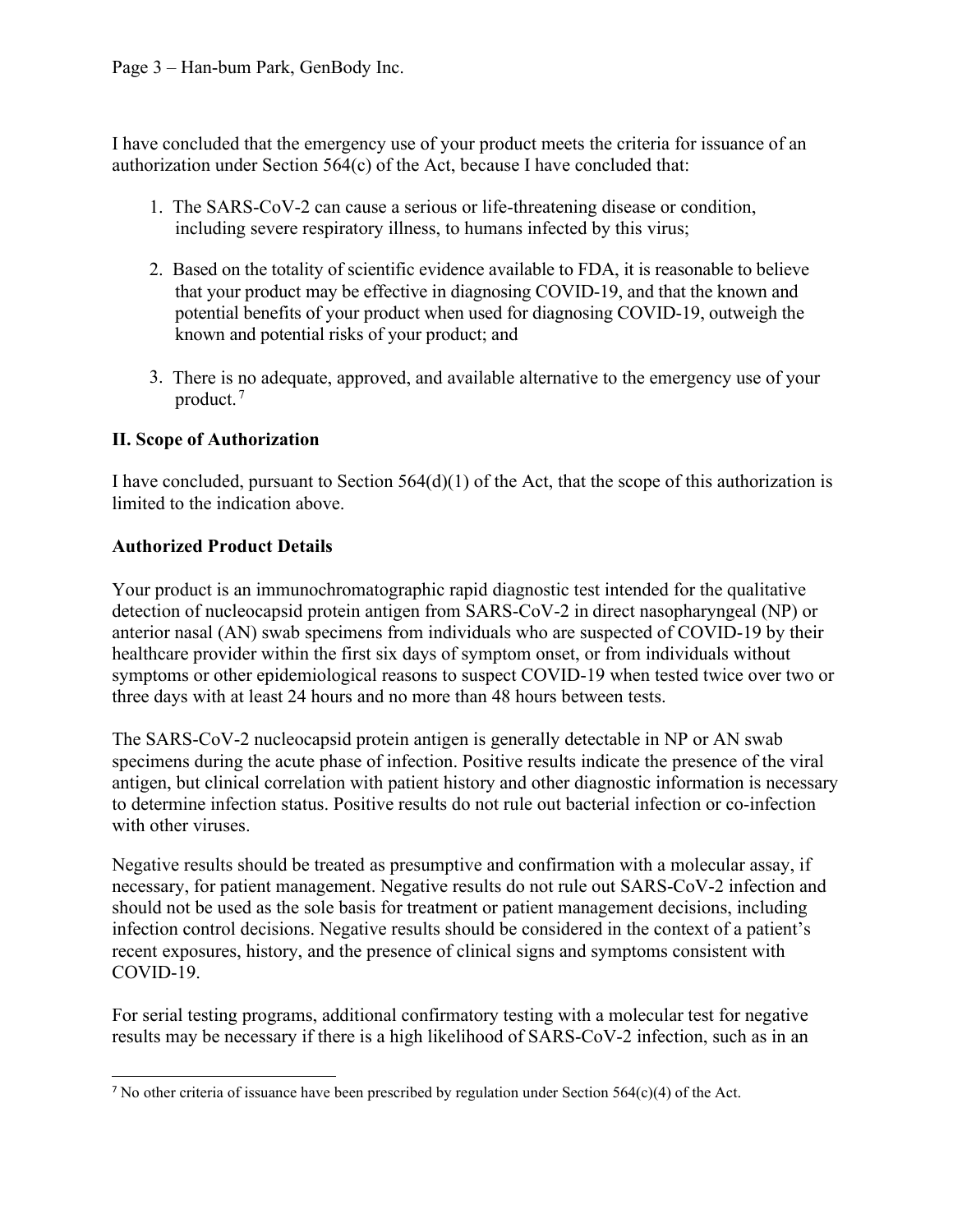I have concluded that the emergency use of your product meets the criteria for issuance of an authorization under Section 564(c) of the Act, because I have concluded that:

- 1. The SARS-CoV-2 can cause a serious or life-threatening disease or condition, including severe respiratory illness, to humans infected by this virus;
- 2. Based on the totality of scientific evidence available to FDA, it is reasonable to believe that your product may be effective in diagnosing COVID-19, and that the known and potential benefits of your product when used for diagnosing COVID-19, outweigh the known and potential risks of your product; and
- 3. There is no adequate, approved, and available alternative to the emergency use of your product. [7](#page-2-0)

## **II. Scope of Authorization**

I have concluded, pursuant to Section  $564(d)(1)$  of the Act, that the scope of this authorization is limited to the indication above.

## **Authorized Product Details**

Your product is an immunochromatographic rapid diagnostic test intended for the qualitative detection of nucleocapsid protein antigen from SARS-CoV-2 in direct nasopharyngeal (NP) or anterior nasal (AN) swab specimens from individuals who are suspected of COVID-19 by their healthcare provider within the first six days of symptom onset, or from individuals without symptoms or other epidemiological reasons to suspect COVID-19 when tested twice over two or three days with at least 24 hours and no more than 48 hours between tests.

The SARS-CoV-2 nucleocapsid protein antigen is generally detectable in NP or AN swab specimens during the acute phase of infection. Positive results indicate the presence of the viral antigen, but clinical correlation with patient history and other diagnostic information is necessary to determine infection status. Positive results do not rule out bacterial infection or co-infection with other viruses.

Negative results should be treated as presumptive and confirmation with a molecular assay, if necessary, for patient management. Negative results do not rule out SARS-CoV-2 infection and should not be used as the sole basis for treatment or patient management decisions, including infection control decisions. Negative results should be considered in the context of a patient's recent exposures, history, and the presence of clinical signs and symptoms consistent with COVID-19.

For serial testing programs, additional confirmatory testing with a molecular test for negative results may be necessary if there is a high likelihood of SARS-CoV-2 infection, such as in an

<span id="page-2-0"></span><sup>7</sup> No other criteria of issuance have been prescribed by regulation under Section 564(c)(4) of the Act.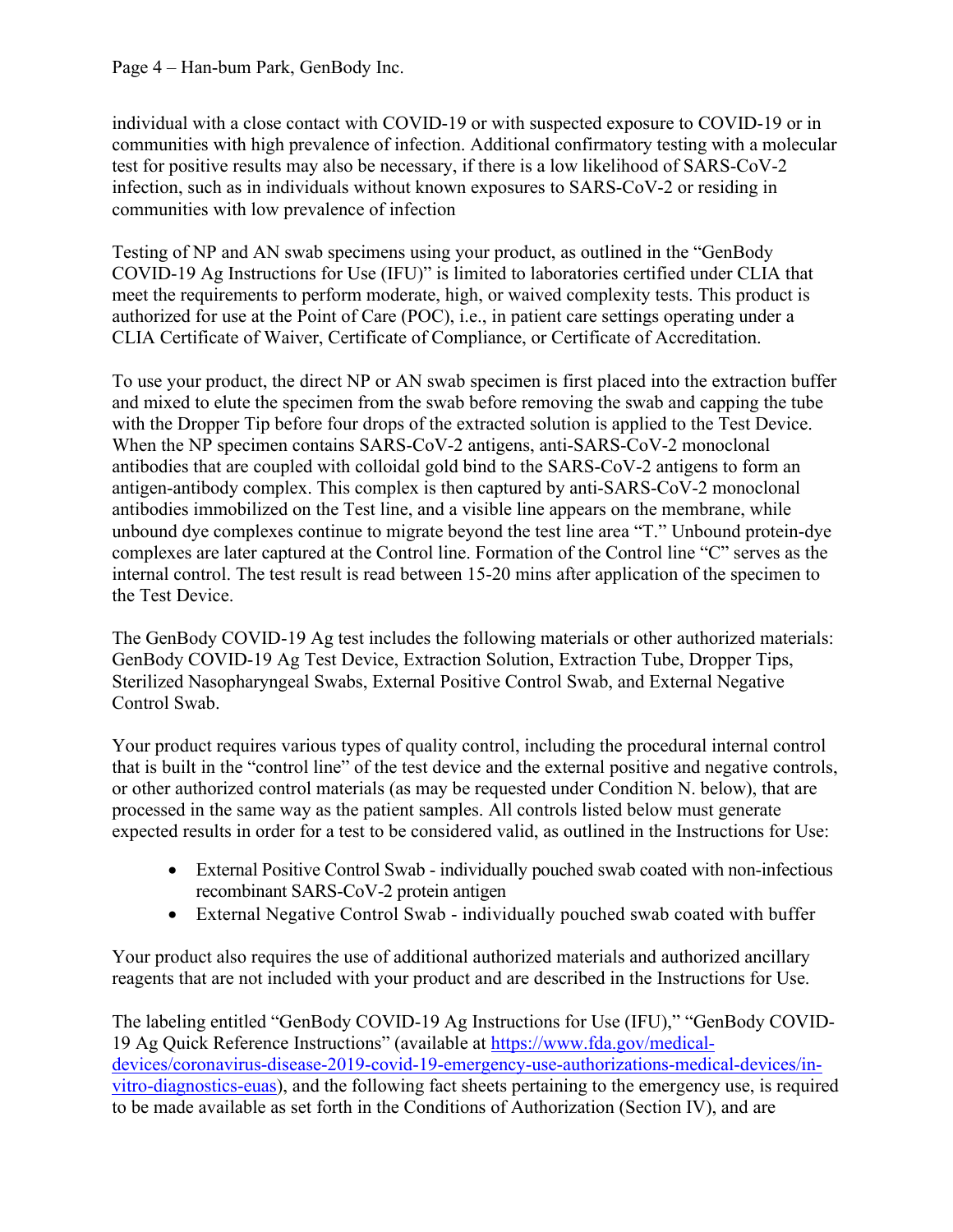Page 4 – Han-bum Park, GenBody Inc.

individual with a close contact with COVID-19 or with suspected exposure to COVID-19 or in communities with high prevalence of infection. Additional confirmatory testing with a molecular test for positive results may also be necessary, if there is a low likelihood of SARS-CoV-2 infection, such as in individuals without known exposures to SARS-CoV-2 or residing in communities with low prevalence of infection

Testing of NP and AN swab specimens using your product, as outlined in the "GenBody COVID-19 Ag Instructions for Use (IFU)" is limited to laboratories certified under CLIA that meet the requirements to perform moderate, high, or waived complexity tests. This product is authorized for use at the Point of Care (POC), i.e., in patient care settings operating under a CLIA Certificate of Waiver, Certificate of Compliance, or Certificate of Accreditation.

To use your product, the direct NP or AN swab specimen is first placed into the extraction buffer and mixed to elute the specimen from the swab before removing the swab and capping the tube with the Dropper Tip before four drops of the extracted solution is applied to the Test Device. When the NP specimen contains SARS-CoV-2 antigens, anti-SARS-CoV-2 monoclonal antibodies that are coupled with colloidal gold bind to the SARS-CoV-2 antigens to form an antigen-antibody complex. This complex is then captured by anti-SARS-CoV-2 monoclonal antibodies immobilized on the Test line, and a visible line appears on the membrane, while unbound dye complexes continue to migrate beyond the test line area "T." Unbound protein-dye complexes are later captured at the Control line. Formation of the Control line "C" serves as the internal control. The test result is read between 15-20 mins after application of the specimen to the Test Device.

The GenBody COVID-19 Ag test includes the following materials or other authorized materials: GenBody COVID-19 Ag Test Device, Extraction Solution, Extraction Tube, Dropper Tips, Sterilized Nasopharyngeal Swabs, External Positive Control Swab, and External Negative Control Swab.

Your product requires various types of quality control, including the procedural internal control that is built in the "control line" of the test device and the external positive and negative controls, or other authorized control materials (as may be requested under Condition N. below), that are processed in the same way as the patient samples. All controls listed below must generate expected results in order for a test to be considered valid, as outlined in the Instructions for Use:

- External Positive Control Swab individually pouched swab coated with non-infectious recombinant SARS-CoV-2 protein antigen
- External Negative Control Swab individually pouched swab coated with buffer

Your product also requires the use of additional authorized materials and authorized ancillary reagents that are not included with your product and are described in the Instructions for Use.

The labeling entitled "GenBody COVID-19 Ag Instructions for Use (IFU)," "GenBody COVID-19 Ag Quick Reference Instructions" (available at [https://www.fda.gov/medical](https://www.fda.gov/medical-devices/coronavirus-disease-2019-covid-19-emergency-use-authorizations-medical-devices/vitro-diagnostics-euas)[devices/coronavirus-disease-2019-covid-19-emergency-use-authorizations-medical-devices/in](https://www.fda.gov/medical-devices/coronavirus-disease-2019-covid-19-emergency-use-authorizations-medical-devices/vitro-diagnostics-euas)[vitro-diagnostics-euas\)](https://www.fda.gov/medical-devices/coronavirus-disease-2019-covid-19-emergency-use-authorizations-medical-devices/vitro-diagnostics-euas), and the following fact sheets pertaining to the emergency use, is required to be made available as set forth in the Conditions of Authorization (Section IV), and are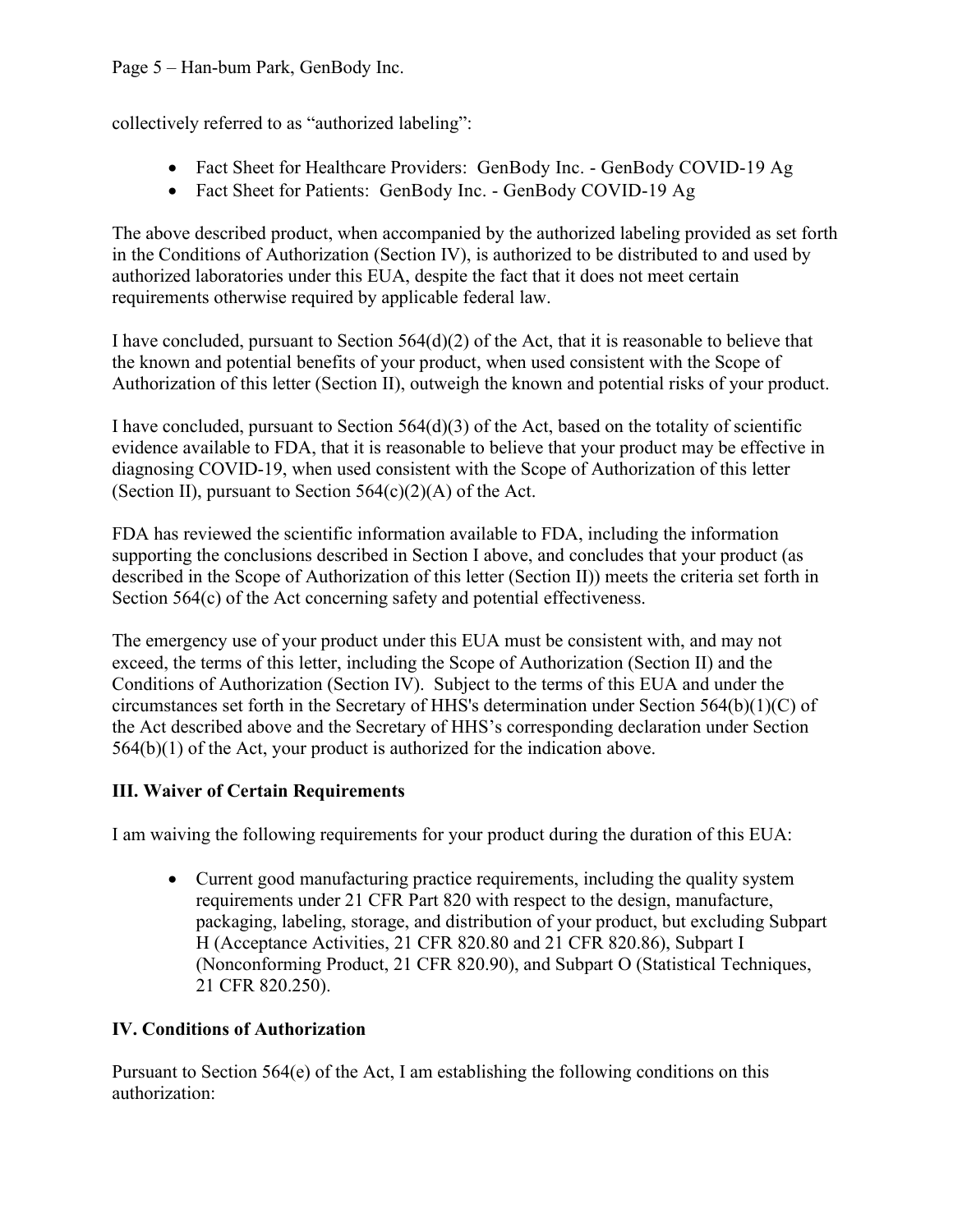## Page 5 – Han-bum Park, GenBody Inc.

collectively referred to as "authorized labeling":

- Fact Sheet for Healthcare Providers: GenBody Inc. GenBody COVID-19 Ag
- Fact Sheet for Patients: GenBody Inc. GenBody COVID-19 Ag

The above described product, when accompanied by the authorized labeling provided as set forth in the Conditions of Authorization (Section IV), is authorized to be distributed to and used by authorized laboratories under this EUA, despite the fact that it does not meet certain requirements otherwise required by applicable federal law.

I have concluded, pursuant to Section 564(d)(2) of the Act, that it is reasonable to believe that the known and potential benefits of your product, when used consistent with the Scope of Authorization of this letter (Section II), outweigh the known and potential risks of your product.

I have concluded, pursuant to Section  $564(d)(3)$  of the Act, based on the totality of scientific evidence available to FDA, that it is reasonable to believe that your product may be effective in diagnosing COVID-19, when used consistent with the Scope of Authorization of this letter (Section II), pursuant to Section  $564(c)(2)(A)$  of the Act.

FDA has reviewed the scientific information available to FDA, including the information supporting the conclusions described in Section I above, and concludes that your product (as described in the Scope of Authorization of this letter (Section II)) meets the criteria set forth in Section 564(c) of the Act concerning safety and potential effectiveness.

The emergency use of your product under this EUA must be consistent with, and may not exceed, the terms of this letter, including the Scope of Authorization (Section II) and the Conditions of Authorization (Section IV). Subject to the terms of this EUA and under the circumstances set forth in the Secretary of HHS's determination under Section 564(b)(1)(C) of the Act described above and the Secretary of HHS's corresponding declaration under Section 564(b)(1) of the Act, your product is authorized for the indication above.

# **III. Waiver of Certain Requirements**

I am waiving the following requirements for your product during the duration of this EUA:

• Current good manufacturing practice requirements, including the quality system requirements under 21 CFR Part 820 with respect to the design, manufacture, packaging, labeling, storage, and distribution of your product, but excluding Subpart H (Acceptance Activities, 21 CFR 820.80 and 21 CFR 820.86), Subpart I (Nonconforming Product, 21 CFR 820.90), and Subpart O (Statistical Techniques, 21 CFR 820.250).

# **IV. Conditions of Authorization**

Pursuant to Section  $564(e)$  of the Act, I am establishing the following conditions on this authorization: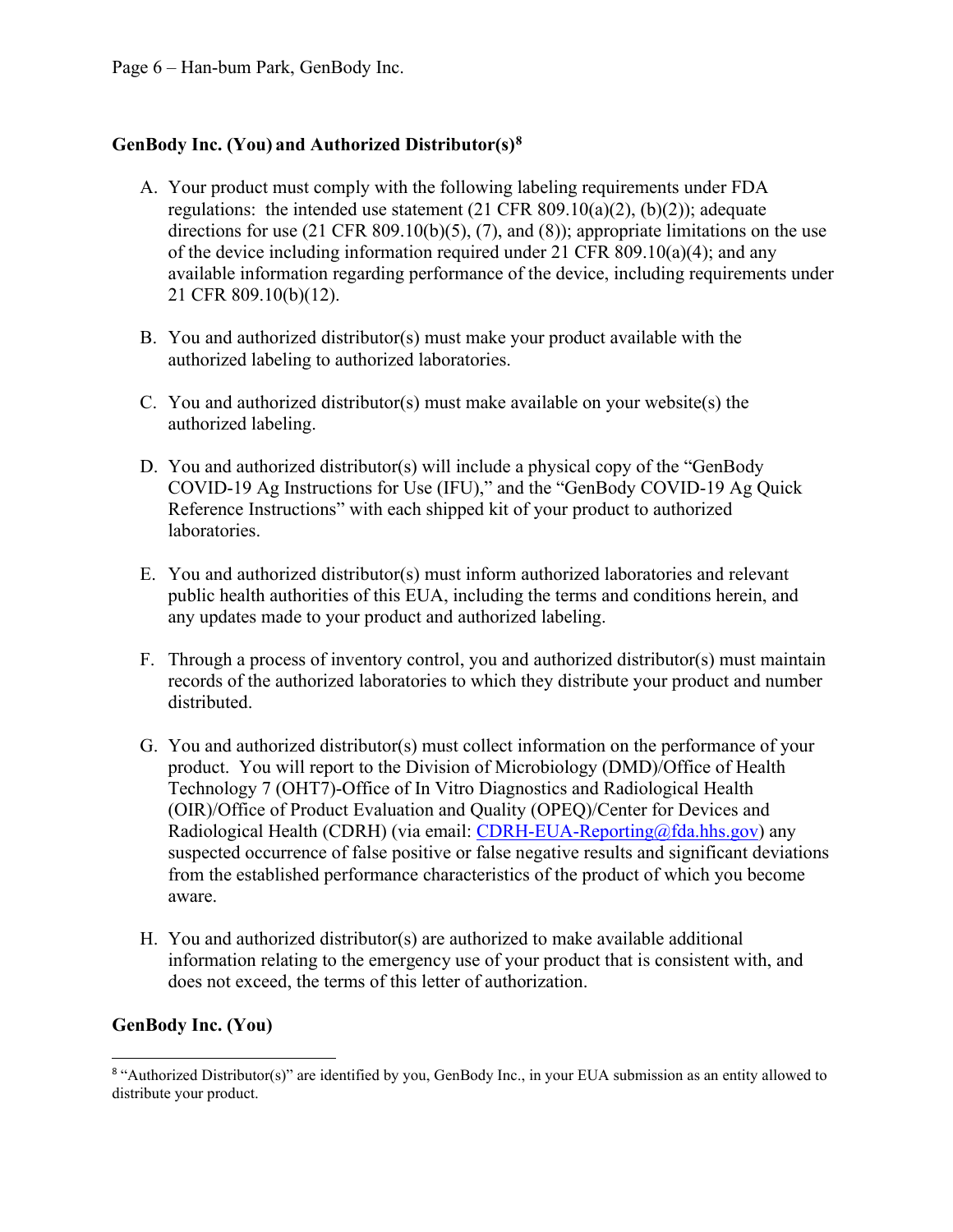## **GenBody Inc. (You) and Authorized Distributor(s)[8](#page-5-0)**

- A. Your product must comply with the following labeling requirements under FDA regulations: the intended use statement  $(21 \text{ CFR } 809.10(a)(2), (b)(2))$ ; adequate directions for use (21 CFR 809.10(b)(5), (7), and (8)); appropriate limitations on the use of the device including information required under 21 CFR 809.10(a)(4); and any available information regarding performance of the device, including requirements under 21 CFR 809.10(b)(12).
- B. You and authorized distributor(s) must make your product available with the authorized labeling to authorized laboratories.
- C. You and authorized distributor(s) must make available on your website(s) the authorized labeling.
- D. You and authorized distributor(s) will include a physical copy of the "GenBody COVID-19 Ag Instructions for Use (IFU)," and the "GenBody COVID-19 Ag Quick Reference Instructions" with each shipped kit of your product to authorized laboratories.
- E. You and authorized distributor(s) must inform authorized laboratories and relevant public health authorities of this EUA, including the terms and conditions herein, and any updates made to your product and authorized labeling.
- F. Through a process of inventory control, you and authorized distributor(s) must maintain records of the authorized laboratories to which they distribute your product and number distributed.
- G. You and authorized distributor(s) must collect information on the performance of your product. You will report to the Division of Microbiology (DMD)/Office of Health Technology 7 (OHT7)-Office of In Vitro Diagnostics and Radiological Health (OIR)/Office of Product Evaluation and Quality (OPEQ)/Center for Devices and Radiological Health (CDRH) (via email: [CDRH-EUA-Reporting@fda.hhs.gov\)](mailto:CDRH-EUA-Reporting@fda.hhs.gov) any suspected occurrence of false positive or false negative results and significant deviations from the established performance characteristics of the product of which you become aware.
- H. You and authorized distributor(s) are authorized to make available additional information relating to the emergency use of your product that is consistent with, and does not exceed, the terms of this letter of authorization.

### **GenBody Inc. (You)**

<span id="page-5-0"></span><sup>&</sup>lt;sup>8</sup> "Authorized Distributor(s)" are identified by you, GenBody Inc., in your EUA submission as an entity allowed to distribute your product.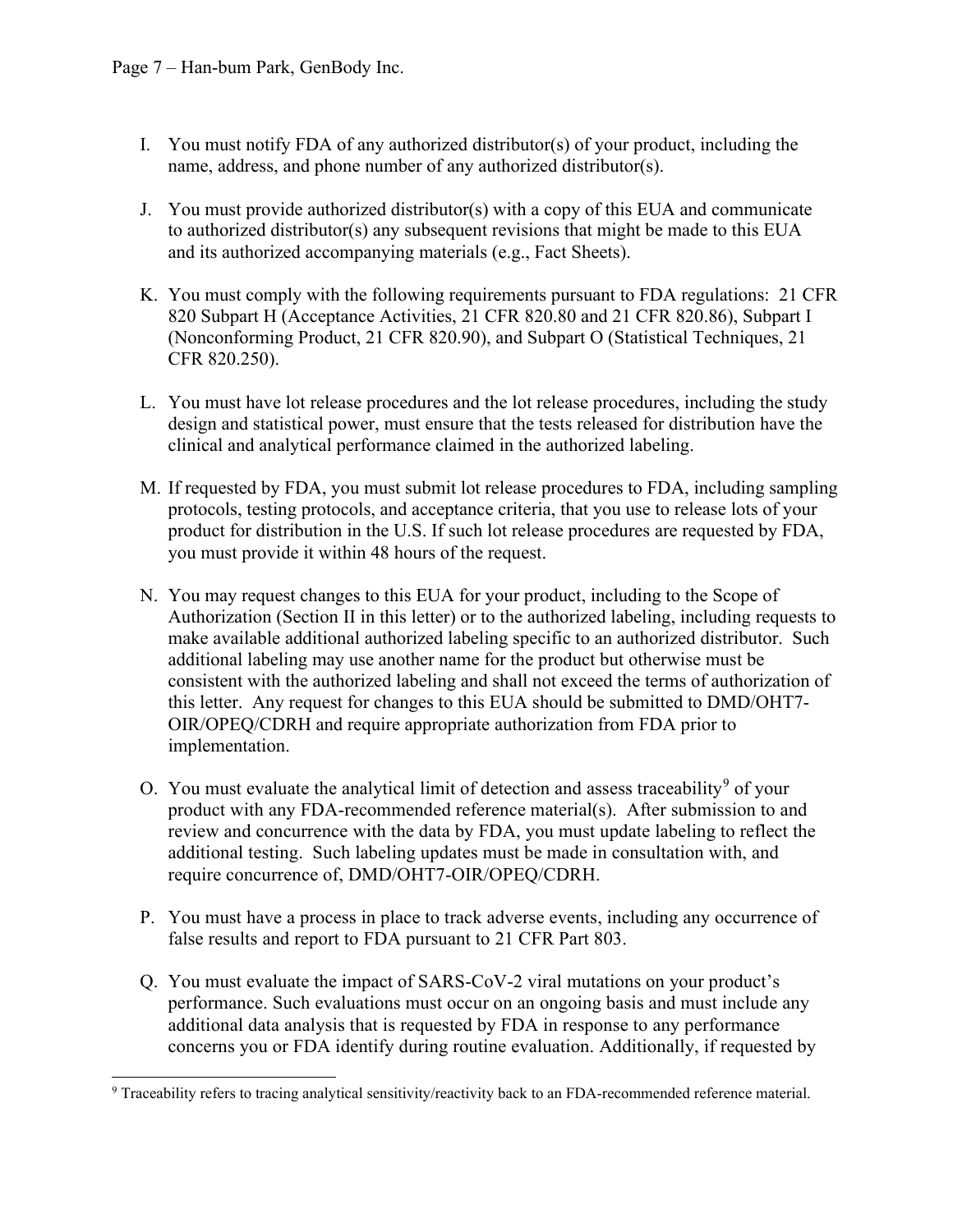- I. You must notify FDA of any authorized distributor(s) of your product, including the name, address, and phone number of any authorized distributor(s).
- J. You must provide authorized distributor(s) with a copy of this EUA and communicate to authorized distributor(s) any subsequent revisions that might be made to this EUA and its authorized accompanying materials (e.g., Fact Sheets).
- K. You must comply with the following requirements pursuant to FDA regulations: 21 CFR 820 Subpart H (Acceptance Activities, 21 CFR 820.80 and 21 CFR 820.86), Subpart I (Nonconforming Product, 21 CFR 820.90), and Subpart O (Statistical Techniques, 21 CFR 820.250).
- L. You must have lot release procedures and the lot release procedures, including the study design and statistical power, must ensure that the tests released for distribution have the clinical and analytical performance claimed in the authorized labeling.
- M. If requested by FDA, you must submit lot release procedures to FDA, including sampling protocols, testing protocols, and acceptance criteria, that you use to release lots of your product for distribution in the U.S. If such lot release procedures are requested by FDA, you must provide it within 48 hours of the request.
- N. You may request changes to this EUA for your product, including to the Scope of Authorization (Section II in this letter) or to the authorized labeling, including requests to make available additional authorized labeling specific to an authorized distributor. Such additional labeling may use another name for the product but otherwise must be consistent with the authorized labeling and shall not exceed the terms of authorization of this letter. Any request for changes to this EUA should be submitted to DMD/OHT7- OIR/OPEQ/CDRH and require appropriate authorization from FDA prior to implementation.
- O. You must evaluate the analytical limit of detection and assess traceability<sup>[9](#page-6-0)</sup> of your product with any FDA-recommended reference material(s). After submission to and review and concurrence with the data by FDA, you must update labeling to reflect the additional testing. Such labeling updates must be made in consultation with, and require concurrence of, DMD/OHT7-OIR/OPEQ/CDRH.
- P. You must have a process in place to track adverse events, including any occurrence of false results and report to FDA pursuant to 21 CFR Part 803.
- Q. You must evaluate the impact of SARS-CoV-2 viral mutations on your product's performance. Such evaluations must occur on an ongoing basis and must include any additional data analysis that is requested by FDA in response to any performance concerns you or FDA identify during routine evaluation. Additionally, if requested by

<span id="page-6-0"></span><sup>&</sup>lt;sup>9</sup> Traceability refers to tracing analytical sensitivity/reactivity back to an FDA-recommended reference material.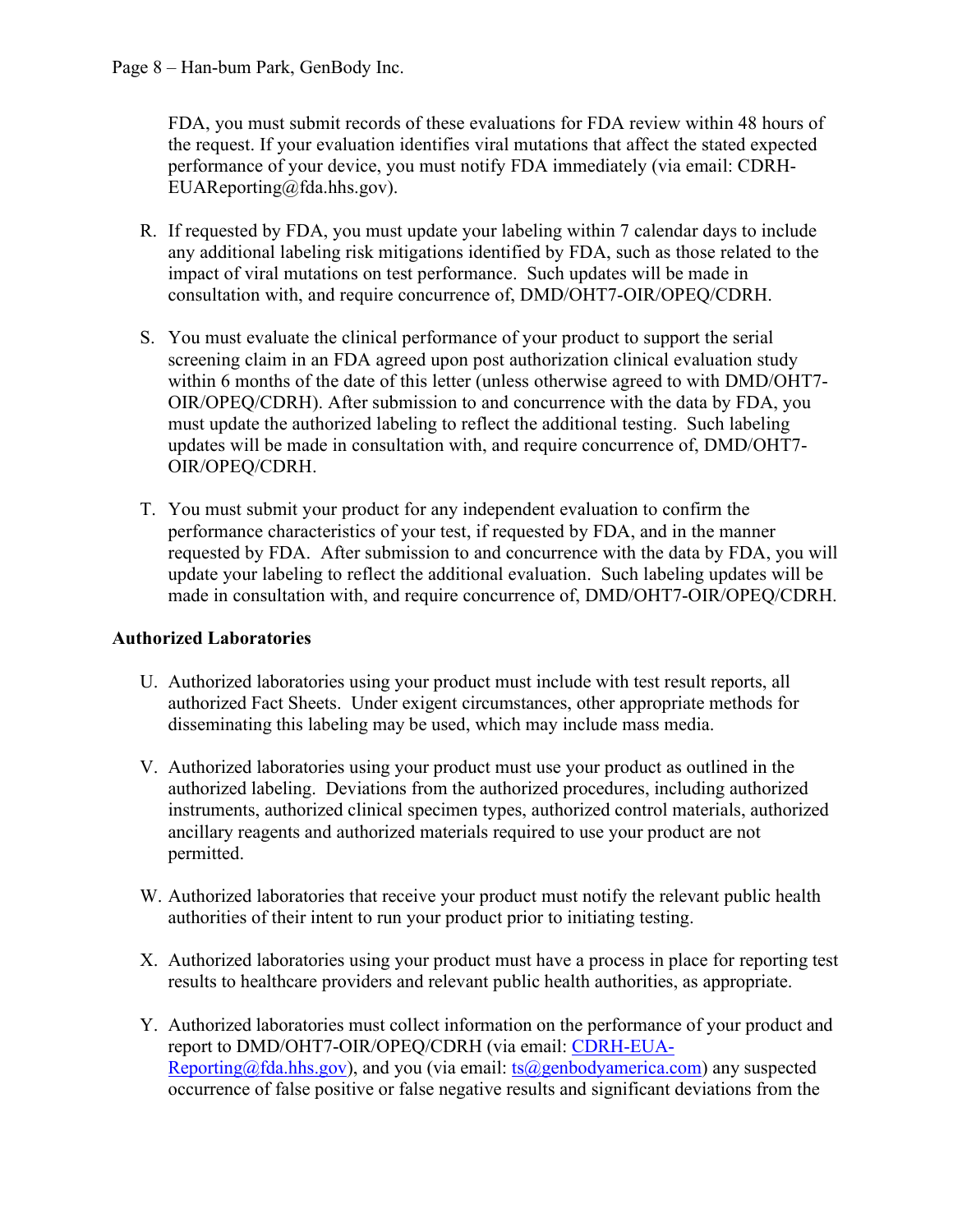FDA, you must submit records of these evaluations for FDA review within 48 hours of the request. If your evaluation identifies viral mutations that affect the stated expected performance of your device, you must notify FDA immediately (via email: CDRH-EUAReporting@fda.hhs.gov).

- R. If requested by FDA, you must update your labeling within 7 calendar days to include any additional labeling risk mitigations identified by FDA, such as those related to the impact of viral mutations on test performance. Such updates will be made in consultation with, and require concurrence of, DMD/OHT7-OIR/OPEQ/CDRH.
- S. You must evaluate the clinical performance of your product to support the serial screening claim in an FDA agreed upon post authorization clinical evaluation study within 6 months of the date of this letter (unless otherwise agreed to with DMD/OHT7- OIR/OPEQ/CDRH). After submission to and concurrence with the data by FDA, you must update the authorized labeling to reflect the additional testing. Such labeling updates will be made in consultation with, and require concurrence of, DMD/OHT7- OIR/OPEQ/CDRH.
- T. You must submit your product for any independent evaluation to confirm the performance characteristics of your test, if requested by FDA, and in the manner requested by FDA. After submission to and concurrence with the data by FDA, you will update your labeling to reflect the additional evaluation. Such labeling updates will be made in consultation with, and require concurrence of, DMD/OHT7-OIR/OPEQ/CDRH.

# **Authorized Laboratories**

- U. Authorized laboratories using your product must include with test result reports, all authorized Fact Sheets. Under exigent circumstances, other appropriate methods for disseminating this labeling may be used, which may include mass media.
- V. Authorized laboratories using your product must use your product as outlined in the authorized labeling. Deviations from the authorized procedures, including authorized instruments, authorized clinical specimen types, authorized control materials, authorized ancillary reagents and authorized materials required to use your product are not permitted.
- W. Authorized laboratories that receive your product must notify the relevant public health authorities of their intent to run your product prior to initiating testing.
- X. Authorized laboratories using your product must have a process in place for reporting test results to healthcare providers and relevant public health authorities, as appropriate.
- Y. Authorized laboratories must collect information on the performance of your product and report to DMD/OHT7-OIR/OPEQ/CDRH (via email: [CDRH-EUA-](mailto:CDRH-EUA-Reporting@fda.hhs.gov)[Reporting@fda.hhs.gov\)](mailto:CDRH-EUA-Reporting@fda.hhs.gov), and you (via email:  $ts@genbodyamerica.com$ ) any suspected occurrence of false positive or false negative results and significant deviations from the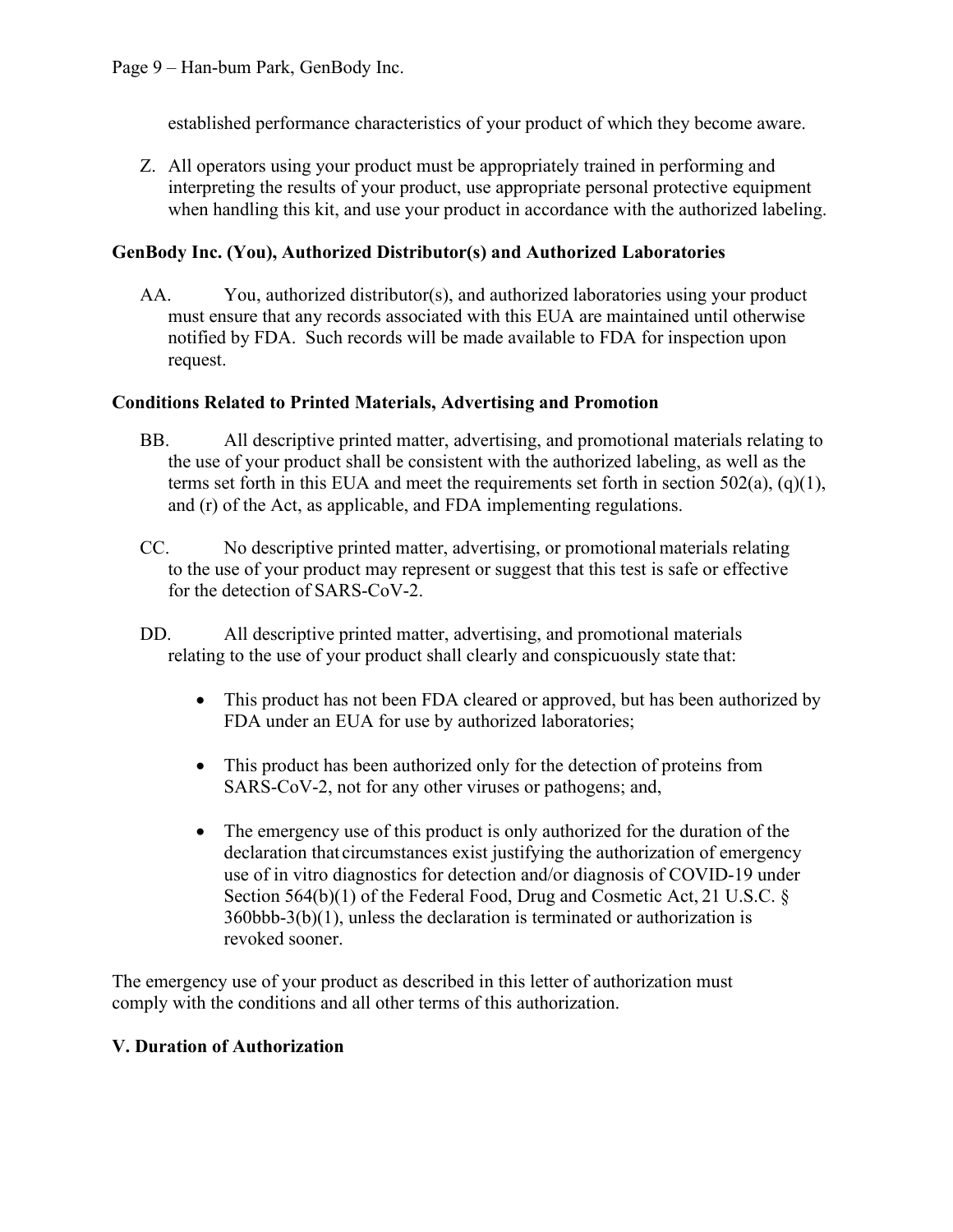established performance characteristics of your product of which they become aware.

Z. All operators using your product must be appropriately trained in performing and interpreting the results of your product, use appropriate personal protective equipment when handling this kit, and use your product in accordance with the authorized labeling.

### **GenBody Inc. (You), Authorized Distributor(s) and Authorized Laboratories**

AA. You, authorized distributor(s), and authorized laboratories using your product must ensure that any records associated with this EUA are maintained until otherwise notified by FDA. Such records will be made available to FDA for inspection upon request.

### **Conditions Related to Printed Materials, Advertising and Promotion**

- BB. All descriptive printed matter, advertising, and promotional materials relating to the use of your product shall be consistent with the authorized labeling, as well as the terms set forth in this EUA and meet the requirements set forth in section  $502(a)$ ,  $(q)(1)$ , and (r) of the Act, as applicable, and FDA implementing regulations.
- CC. No descriptive printed matter, advertising, or promotionalmaterials relating to the use of your product may represent or suggest that this test is safe or effective for the detection of SARS-CoV-2.
- DD. All descriptive printed matter, advertising, and promotional materials relating to the use of your product shall clearly and conspicuously state that:
	- This product has not been FDA cleared or approved, but has been authorized by FDA under an EUA for use by authorized laboratories;
	- This product has been authorized only for the detection of proteins from SARS-CoV-2, not for any other viruses or pathogens; and,
	- The emergency use of this product is only authorized for the duration of the declaration that circumstances exist justifying the authorization of emergency use of in vitro diagnostics for detection and/or diagnosis of COVID-19 under Section 564(b)(1) of the Federal Food, Drug and Cosmetic Act, 21 U.S.C. § 360bbb-3(b)(1), unless the declaration is terminated or authorization is revoked sooner.

The emergency use of your product as described in this letter of authorization must comply with the conditions and all other terms of this authorization.

### **V. Duration of Authorization**